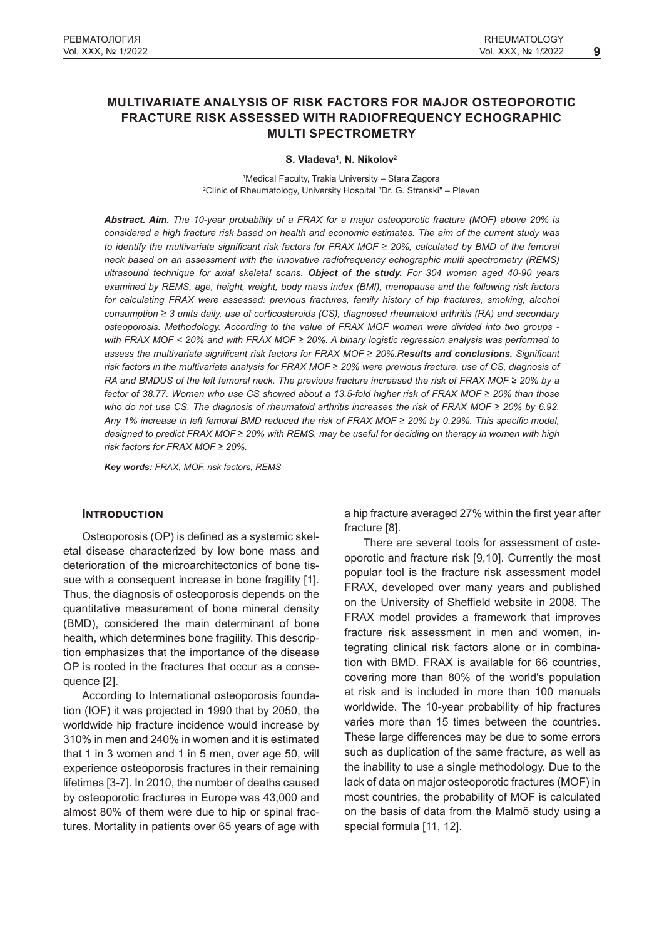# **MULTIVARIATE ANALYSIS OF RISK FACTORS FOR MAJOR OSTEOPOROTIC FRACTURE RISK ASSESSED WITH RADIOFREQUENCY ECHOGRAPHIC MULTI SPECTROMETRY**

**S. Vladeva<sup>1</sup> , N. Nikolov<sup>2</sup>**

1 Medical Faculty, Trakia University – Stara Zagora 2 Clinic of Rheumatology, University Hospital "Dr. G. Stranski" ‒ Pleven

*Abstract. Aim. The 10-year probability of a FRAX for a major osteoporotic fracture (MOF) above 20% is considered a high fracture risk based on health and economic estimates. The aim of the current study was to identify the multivariate significant risk factors for FRAX MOF ≥ 20%, calculated by BMD of the femoral neck based on an assessment with the innovative radiofrequency echographic multi spectrometry (REMS) ultrasound technique for axial skeletal scans. Object of the study. For 304 women aged 40-90 years examined by REMS, age, height, weight, body mass index (BMI), menopause and the following risk factors for calculating FRAX were assessed: previous fractures, family history of hip fractures, smoking, alcohol consumption ≥ 3 units daily, use of corticosteroids (CS), diagnosed rheumatoid arthritis (RA) and secondary osteoporosis. Methodology. According to the value of FRAX MOF women were divided into two groups with FRAX MOF < 20% and with FRAX MOF ≥ 20%. A binary logistic regression analysis was performed to assess the multivariate significant risk factors for FRAX MOF ≥ 20%.Results and conclusions. Significant risk factors in the multivariate analysis for FRAX MOF ≥ 20% were previous fracture, use of CS, diagnosis of RA and BMDUS of the left femoral neck. The previous fracture increased the risk of FRAX MOF ≥ 20% by a factor of 38.77. Women who use CS showed about a 13.5-fold higher risk of FRAX MOF ≥ 20% than those who do not use CS. The diagnosis of rheumatoid arthritis increases the risk of FRAX MOF ≥ 20% by 6.92. Any 1% increase in left femoral BMD reduced the risk of FRAX MOF ≥ 20% by 0.29%. This specific model, designed to predict FRAX MOF ≥ 20% with REMS, may be useful for deciding on therapy in women with high risk factors for FRAX MOF ≥ 20%.*

*Key words: FRAX, MOF, risk factors, REMS*

# **INTRODUCTION**

Osteoporosis (OP) is defined as a systemic skeletal disease characterized by low bone mass and deterioration of the microarchitectonics of bone tissue with a consequent increase in bone fragility [1]. Thus, the diagnosis of osteoporosis depends on the quantitative measurement of bone mineral density (BMD), considered the main determinant of bone health, which determines bone fragility. This description emphasizes that the importance of the disease OP is rooted in the fractures that occur as a consequence [2].

According to International osteoporosis foundation (IOF) it was projected in 1990 that by 2050, the worldwide hip fracture incidence would increase by 310% in men and 240% in women and it is estimated that 1 in 3 women and 1 in 5 men, over age 50, will experience osteoporosis fractures in their remaining lifetimes [3-7]. In 2010, the number of deaths caused by osteoporotic fractures in Europe was 43,000 and almost 80% of them were due to hip or spinal fractures. Mortality in patients over 65 years of age with a hip fracture averaged 27% within the first year after fracture [8].

There are several tools for assessment of osteoporotic and fracture risk [9,10]. Currently the most popular tool is the fracture risk assessment model FRAX, developed over many years and published on the University of Sheffield website in 2008. The FRAX model provides a framework that improves fracture risk assessment in men and women, integrating clinical risk factors alone or in combination with BMD. FRAX is available for 66 countries, covering more than 80% of the world's population at risk and is included in more than 100 manuals worldwide. The 10-year probability of hip fractures varies more than 15 times between the countries. These large differences may be due to some errors such as duplication of the same fracture, as well as the inability to use a single methodology. Due to the lack of data on major osteoporotic fractures (MOF) in most countries, the probability of MOF is calculated on the basis of data from the Malmö study using a special formula [11, 12].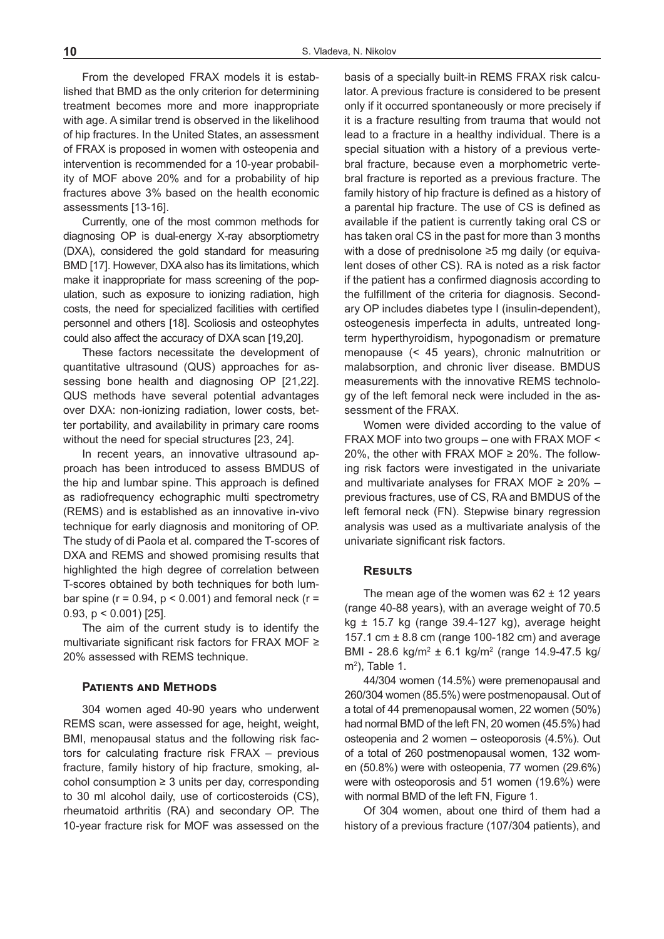From the developed FRAX models it is established that BMD as the only criterion for determining treatment becomes more and more inappropriate with age. A similar trend is observed in the likelihood of hip fractures. In the United States, an assessment of FRAX is proposed in women with osteopenia and intervention is recommended for a 10-year probability of MOF above 20% and for a probability of hip fractures above 3% based on the health economic assessments [13-16].

Currently, one of the most common methods for diagnosing OP is dual-energy X-ray absorptiometry (DXA), considered the gold standard for measuring BMD [17]. However, DXA also has its limitations, which make it inappropriate for mass screening of the population, such as exposure to ionizing radiation, high costs, the need for specialized facilities with certified personnel and others [18]. Scoliosis and osteophytes could also affect the accuracy of DXA scan [19,20].

These factors necessitate the development of quantitative ultrasound (QUS) approaches for assessing bone health and diagnosing OP [21,22]. QUS methods have several potential advantages over DXA: non-ionizing radiation, lower costs, better portability, and availability in primary care rooms without the need for special structures [23, 24].

In recent years, an innovative ultrasound approach has been introduced to assess BMDUS of the hip and lumbar spine. This approach is defined as radiofrequency echographic multi spectrometry (REMS) and is established as an innovative in-vivo technique for early diagnosis and monitoring of OP. The study of di Paola et al. compared the T-scores of DXA and REMS and showed promising results that highlighted the high degree of correlation between T-scores obtained by both techniques for both lumbar spine ( $r = 0.94$ ,  $p < 0.001$ ) and femoral neck ( $r =$ 0.93, p < 0.001) [25].

The aim of the current study is to identify the multivariate significant risk factors for FRAX MOF ≥ 20% assessed with REMS technique.

## **Patients and Methods**

304 women aged 40-90 years who underwent REMS scan, were assessed for age, height, weight, BMI, menopausal status and the following risk factors for calculating fracture risk  $FRAX -$  previous fracture, family history of hip fracture, smoking, alcohol consumption  $\geq 3$  units per day, corresponding to 30 ml alcohol daily, use of corticosteroids (CS), rheumatoid arthritis (RA) and secondary OP. The 10-year fracture risk for MOF was assessed on the

basis of a specially built-in REMS FRAX risk calculator. A previous fracture is considered to be present only if it occurred spontaneously or more precisely if it is a fracture resulting from trauma that would not lead to a fracture in a healthy individual. There is a special situation with a history of a previous vertebral fracture, because even a morphometric vertebral fracture is reported as a previous fracture. The family history of hip fracture is defined as a history of a parental hip fracture. The use of CS is defined as available if the patient is currently taking oral CS or has taken oral CS in the past for more than 3 months with a dose of prednisolone ≥5 mg daily (or equivalent doses of other CS). RA is noted as a risk factor if the patient has a confirmed diagnosis according to the fulfillment of the criteria for diagnosis. Secondary OP includes diabetes type I (insulin-dependent), osteogenesis imperfecta in adults, untreated longterm hyperthyroidism, hypogonadism or premature menopause (< 45 years), chronic malnutrition or malabsorption, and chronic liver disease. BMDUS measurements with the innovative REMS technology of the left femoral neck were included in the assessment of the FRAX.

Women were divided according to the value of FRAX MOF into two groups - one with FRAX MOF < 20%, the other with FRAX MOF  $\geq$  20%. The following risk factors were investigated in the univariate and multivariate analyses for FRAX MOF  $\geq$  20% – previous fractures, use of CS, RA and BMDUS of the left femoral neck (FN). Stepwise binary regression analysis was used as a multivariate analysis of the univariate significant risk factors.

# **Results**

The mean age of the women was  $62 \pm 12$  years (range 40-88 years), with an average weight of 70.5 kg ± 15.7 kg (range 39.4-127 kg), average height 157.1 cm ± 8.8 cm (range 100-182 cm) and average BMI - 28.6 kg/m<sup>2</sup> ± 6.1 kg/m<sup>2</sup> (range 14.9-47.5 kg/ m<sup>2</sup> ), Table 1.

44/304 women (14.5%) were premenopausal and 260/304 women (85.5%) were postmenopausal. Out of a total of 44 premenopausal women, 22 women (50%) had normal BMD of the left FN, 20 women (45.5%) had osteopenia and 2 women – osteoporosis (4.5%). Out of a total of 260 postmenopausal women, 132 women (50.8%) were with osteopenia, 77 women (29.6%) were with osteoporosis and 51 women (19.6%) were with normal BMD of the left FN, Figure 1.

Of 304 women, about one third of them had a history of a previous fracture (107/304 patients), and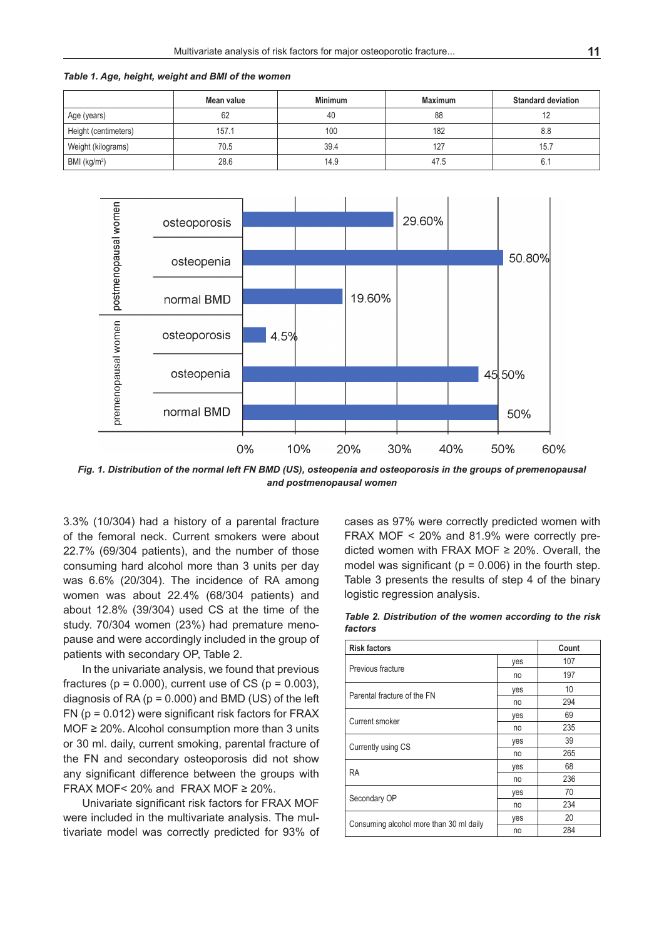*Table 1. Age, height, weight and BMI of the women*

|                          | Mean value | <b>Minimum</b> | <b>Maximum</b> | <b>Standard deviation</b> |
|--------------------------|------------|----------------|----------------|---------------------------|
| Age (years)              | 62         | 40             | 88             | ے ا                       |
| Height (centimeters)     | 157.1      | 100            | 182            | 8.8                       |
| Weight (kilograms)       | 70.5       | 39.4           | 127            | 15.                       |
| BMI (kg/m <sup>2</sup> ) | 28.6       | 14.9           | 47.5           |                           |



*Fig. 1. Distribution of the normal left FN BMD (US), osteopenia and osteoporosis in the groups of premenopausal and postmenopausal women*

3.3% (10/304) had a history of a parental fracture of the femoral neck. Current smokers were about 22.7% (69/304 patients), and the number of those consuming hard alcohol more than 3 units per day was 6.6% (20/304). The incidence of RA among women was about 22.4% (68/304 patients) and about 12.8% (39/304) used CS at the time of the study. 70/304 women (23%) had premature menopause and were accordingly included in the group of patients with secondary OP, Table 2.

In the univariate analysis, we found that previous fractures ( $p = 0.000$ ), current use of CS ( $p = 0.003$ ), diagnosis of RA ( $p = 0.000$ ) and BMD (US) of the left  $FN (p = 0.012)$  were significant risk factors for  $FRAX$ MOF ≥ 20%. Alcohol consumption more than 3 units or 30 ml. daily, current smoking, parental fracture of the FN and secondary osteoporosis did not show any significant difference between the groups with FRAX MOF< 20% and FRAX MOF  $\geq$  20%.

Univariate significant risk factors for FRAX MOF were included in the multivariate analysis. The multivariate model was correctly predicted for 93% of cases as 97% were correctly predicted women with FRAX MOF < 20% and 81.9% were correctly predicted women with FRAX MOF ≥ 20%. Overall, the model was significant ( $p = 0.006$ ) in the fourth step. Table 3 presents the results of step 4 of the binary logistic regression analysis.

*Table 2. Distribution of the women according to the risk factors*

| <b>Risk factors</b>                     | Count |     |
|-----------------------------------------|-------|-----|
|                                         | yes   | 107 |
| Previous fracture                       | no    | 197 |
| Parental fracture of the FN             | yes   | 10  |
|                                         | no    | 294 |
| Current smoker                          | yes   | 69  |
|                                         | no    | 235 |
|                                         | yes   | 39  |
| Currently using CS                      | no    | 265 |
| <b>RA</b>                               | yes   | 68  |
|                                         | no    | 236 |
|                                         | yes   | 70  |
| Secondary OP                            | no    | 234 |
|                                         | yes   | 20  |
| Consuming alcohol more than 30 ml daily | no    | 284 |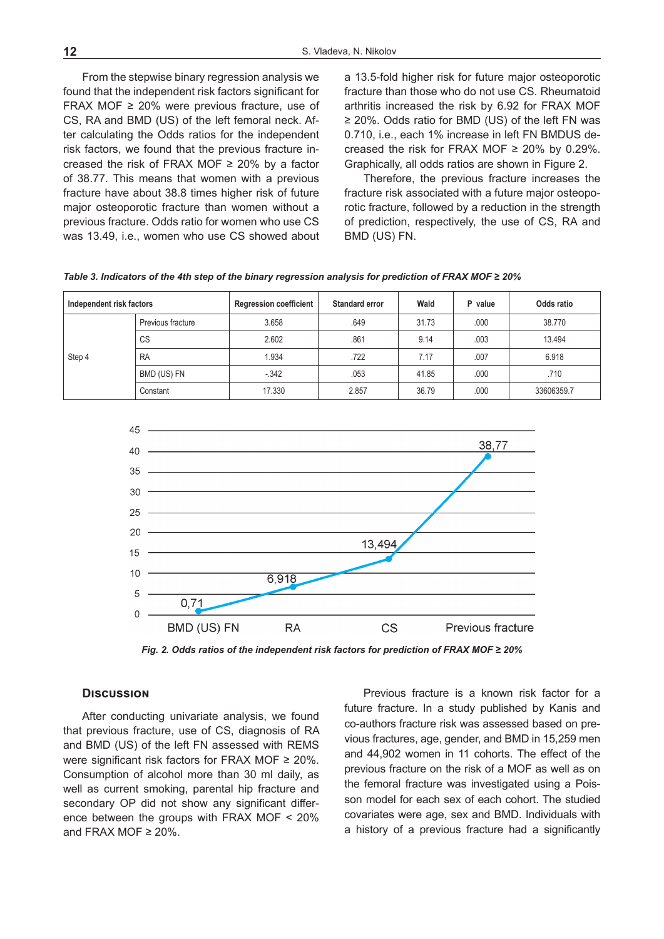From the stepwise binary regression analysis we found that the independent risk factors significant for FRAX MOF ≥ 20% were previous fracture, use of CS, RA and BMD (US) of the left femoral neck. After calculating the Odds ratios for the independent risk factors, we found that the previous fracture increased the risk of FRAX MOF ≥ 20% by a factor of 38.77. This means that women with a previous fracture have about 38.8 times higher risk of future major osteoporotic fracture than women without a previous fracture. Odds ratio for women who use CS was 13.49, i.e., women who use CS showed about a 13.5-fold higher risk for future major osteoporotic fracture than those who do not use CS. Rheumatoid arthritis increased the risk by 6.92 for FRAX MOF ≥ 20%. Odds ratio for BMD (US) of the left FN was 0.710, i.e., each 1% increase in left FN BMDUS decreased the risk for FRAX MOF  $\geq$  20% by 0.29%. Graphically, all odds ratios are shown in Figure 2.

Therefore, the previous fracture increases the fracture risk associated with a future major osteoporotic fracture, followed by a reduction in the strength of prediction, respectively, the use of CS, RA and BMD (US) FN.

| Independent risk factors |                   | <b>Regression coefficient</b> | Standard error | Wald  | P value | Odds ratio |
|--------------------------|-------------------|-------------------------------|----------------|-------|---------|------------|
| Step 4                   | Previous fracture | 3.658                         | .649           | 31.73 | .000    | 38.770     |
|                          | <b>CS</b>         | 2.602                         | .861           | 9.14  | .003    | 13.494     |
|                          | <b>RA</b>         | 1.934                         | .722           | 7.17  | .007    | 6.918      |
|                          | BMD (US) FN       | $-.342$                       | .053           | 41.85 | .000    | .710       |
|                          | Constant          | 17.330                        | 2.857          | 36.79 | .000    | 33606359.7 |

*Table 3. Indicators of the 4th step of the binary regression analysis for prediction of FRAX MOF ≥ 20%*



*Fig. 2. Odds ratios of the independent risk factors for prediction of FRAX MOF ≥ 20%*

## **Discussion**

After conducting univariate analysis, we found that previous fracture, use of CS, diagnosis of RA and BMD (US) of the left FN assessed with REMS were significant risk factors for FRAX MOF ≥ 20%. Consumption of alcohol more than 30 ml daily, as well as current smoking, parental hip fracture and secondary OP did not show any significant difference between the groups with FRAX MOF < 20% and FRAX MOF  $\geq$  20%.

Previous fracture is a known risk factor for a future fracture. In a study published by Kanis and co-authors fracture risk was assessed based on previous fractures, age, gender, and BMD in 15,259 men and 44,902 women in 11 cohorts. The effect of the previous fracture on the risk of a MOF as well as on the femoral fracture was investigated using a Poisson model for each sex of each cohort. The studied covariates were age, sex and BMD. Individuals with a history of a previous fracture had a significantly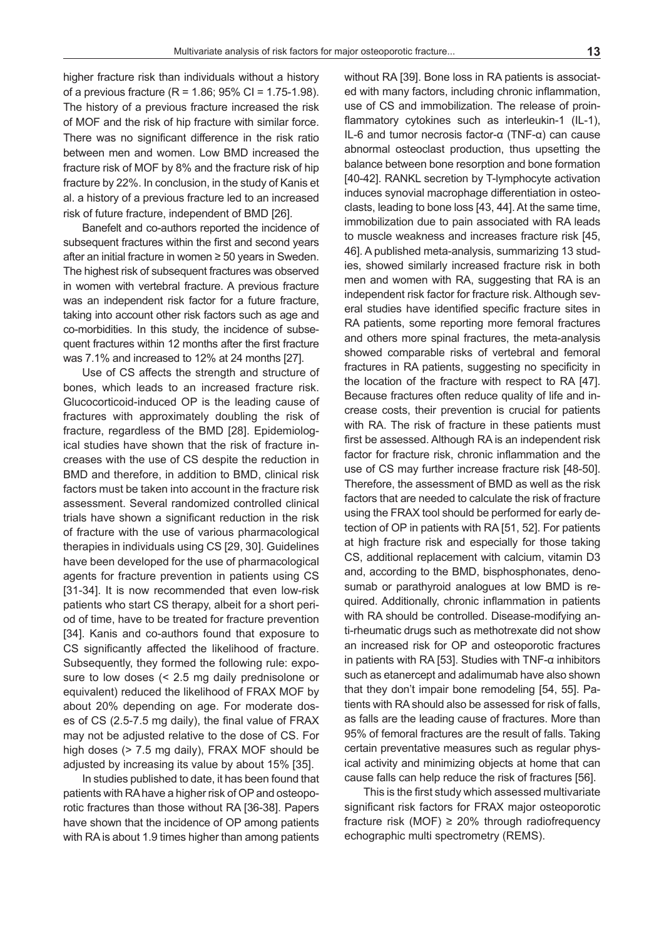higher fracture risk than individuals without a history of a previous fracture (R = 1.86; 95% CI = 1.75-1.98). The history of a previous fracture increased the risk of MOF and the risk of hip fracture with similar force. There was no significant difference in the risk ratio between men and women. Low BMD increased the fracture risk of MOF by 8% and the fracture risk of hip fracture by 22%. In conclusion, in the study of Kanis et al. a history of a previous fracture led to an increased risk of future fracture, independent of BMD [26].

Banefelt and co-authors reported the incidence of subsequent fractures within the first and second years after an initial fracture in women ≥ 50 years in Sweden. The highest risk of subsequent fractures was observed in women with vertebral fracture. A previous fracture was an independent risk factor for a future fracture, taking into account other risk factors such as age and co-morbidities. In this study, the incidence of subsequent fractures within 12 months after the first fracture was 7.1% and increased to 12% at 24 months [27].

Use of CS affects the strength and structure of bones, which leads to an increased fracture risk. Glucocorticoid-induced OP is the leading cause of fractures with approximately doubling the risk of fracture, regardless of the BMD [28]. Epidemiological studies have shown that the risk of fracture increases with the use of CS despite the reduction in BMD and therefore, in addition to BMD, clinical risk factors must be taken into account in the fracture risk assessment. Several randomized controlled clinical trials have shown a significant reduction in the risk of fracture with the use of various pharmacological therapies in individuals using CS [29, 30]. Guidelines have been developed for the use of pharmacological agents for fracture prevention in patients using CS [31-34]. It is now recommended that even low-risk patients who start CS therapy, albeit for a short period of time, have to be treated for fracture prevention [34]. Kanis and co-authors found that exposure to CS significantly affected the likelihood of fracture. Subsequently, they formed the following rule: exposure to low doses (< 2.5 mg daily prednisolone or equivalent) reduced the likelihood of FRAX MOF by about 20% depending on age. For moderate doses of CS (2.5-7.5 mg daily), the final value of FRAX may not be adjusted relative to the dose of CS. For high doses (> 7.5 mg daily), FRAX MOF should be adjusted by increasing its value by about 15% [35].

In studies published to date, it has been found that patients with RA have a higher risk of OP and osteoporotic fractures than those without RA [36-38]. Papers have shown that the incidence of OP among patients with RA is about 1.9 times higher than among patients without RA [39]. Bone loss in RA patients is associated with many factors, including chronic inflammation, use of CS and immobilization. The release of proinflammatory cytokines such as interleukin-1 (IL-1), IL-6 and tumor necrosis factor-α (TNF-α) can cause abnormal osteoclast production, thus upsetting the balance between bone resorption and bone formation [40-42]. RANKL secretion by T-lymphocyte activation induces synovial macrophage differentiation in osteoclasts, leading to bone loss [43, 44]. At the same time, immobilization due to pain associated with RA leads to muscle weakness and increases fracture risk [45, 46]. A published meta-analysis, summarizing 13 studies, showed similarly increased fracture risk in both men and women with RA, suggesting that RA is an independent risk factor for fracture risk. Although several studies have identified specific fracture sites in RA patients, some reporting more femoral fractures and others more spinal fractures, the meta-analysis showed comparable risks of vertebral and femoral fractures in RA patients, suggesting no specificity in the location of the fracture with respect to RA [47]. Because fractures often reduce quality of life and increase costs, their prevention is crucial for patients with RA. The risk of fracture in these patients must first be assessed. Although RA is an independent risk factor for fracture risk, chronic inflammation and the use of CS may further increase fracture risk [48-50]. Therefore, the assessment of BMD as well as the risk factors that are needed to calculate the risk of fracture using the FRAX tool should be performed for early detection of OP in patients with RA [51, 52]. For patients at high fracture risk and especially for those taking CS, additional replacement with calcium, vitamin D3 and, according to the BMD, bisphosphonates, denosumab or parathyroid analogues at low BMD is required. Additionally, chronic inflammation in patients with RA should be controlled. Disease-modifying anti-rheumatic drugs such as methotrexate did not show an increased risk for OP and osteoporotic fractures in patients with RA [53]. Studies with TNF- $\alpha$  inhibitors such as etanercept and adalimumab have also shown that they don't impair bone remodeling [54, 55]. Patients with RA should also be assessed for risk of falls, as falls are the leading cause of fractures. More than 95% of femoral fractures are the result of falls. Taking certain preventative measures such as regular physical activity and minimizing objects at home that can cause falls can help reduce the risk of fractures [56].

This is the first study which assessed multivariate significant risk factors for FRAX major osteoporotic fracture risk (MOF)  $\geq$  20% through radiofrequency echographic multi spectrometry (REMS).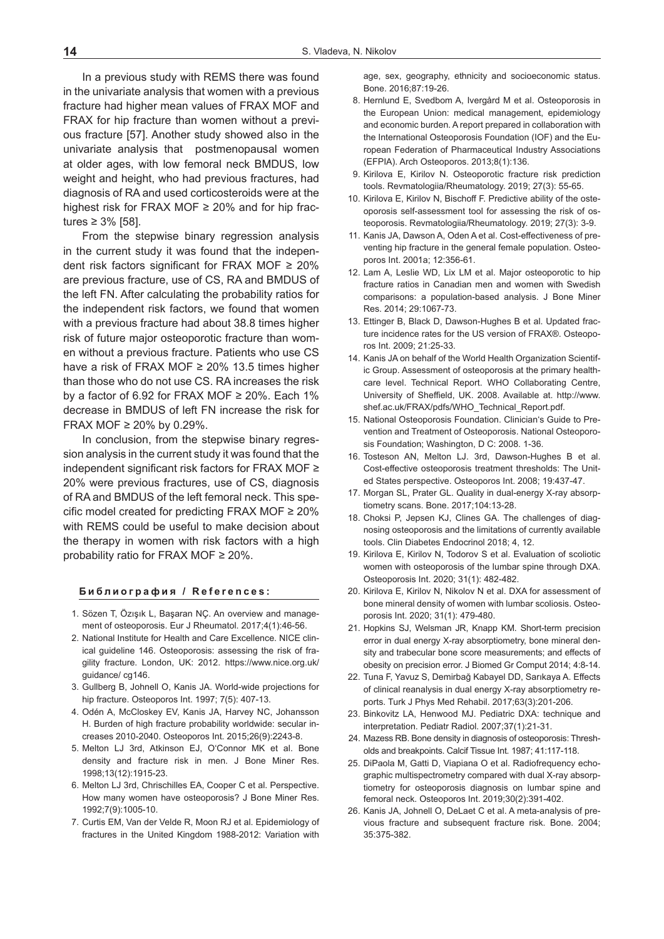In a previous study with REMS there was found in the univariate analysis that women with a previous fracture had higher mean values of FRAX MOF and FRAX for hip fracture than women without a previous fracture [57]. Another study showed also in the univariate analysis that postmenopausal women at older ages, with low femoral neck BMDUS, low weight and height, who had previous fractures, had diagnosis of RA and used corticosteroids were at the highest risk for FRAX MOF  $\geq$  20% and for hip fractures ≥ 3% [58].

From the stepwise binary regression analysis in the current study it was found that the independent risk factors significant for FRAX MOF  $\geq 20\%$ are previous fracture, use of CS, RA and BMDUS of the left FN. After calculating the probability ratios for the independent risk factors, we found that women with a previous fracture had about 38.8 times higher risk of future major osteoporotic fracture than women without a previous fracture. Patients who use CS have a risk of FRAX MOF ≥ 20% 13.5 times higher than those who do not use CS. RA increases the risk by a factor of 6.92 for FRAX MOF  $\geq$  20%. Each 1% decrease in BMDUS of left FN increase the risk for FRAX MOF  $\geq$  20% by 0.29%.

In conclusion, from the stepwise binary regression analysis in the current study it was found that the independent significant risk factors for FRAX MOF ≥ 20% were previous fractures, use of CS, diagnosis of RA and BMDUS of the left femoral neck. This specific model created for predicting FRAX MOF  $\geq 20\%$ with REMS could be useful to make decision about the therapy in women with risk factors with a high probability ratio for FRAX MOF ≥ 20%.

#### **Библиография / References:**

- 1. Sözen T, Özışık L, Başaran NÇ. An overview and management of osteoporosis. Eur J Rheumatol. 2017;4(1):46-56.
- 2. National Institute for Health and Care Excellence. NICE clinical guideline 146. Osteoporosis: assessing the risk of fragility fracture. London, UK: 2012. https://www.nice.org.uk/ guidance/ cg146.
- 3. Gullberg B, Johnell O, Kanis JA. World-wide projections for hip fracture. Osteoporos Int. 1997; 7(5): 407-13.
- 4. Odén A, McCloskey EV, Kanis JA, Harvey NC, Johansson H. Burden of high fracture probability worldwide: secular increases 2010-2040. Osteoporos Int. 2015;26(9):2243-8.
- 5. Melton LJ 3rd, Atkinson EJ, O'Connor MK et al. Bone density and fracture risk in men. J Bone Miner Res. 1998;13(12):1915-23.
- 6. Melton LJ 3rd, Chrischilles EA, Cooper C et al. Perspective. How many women have osteoporosis? J Bone Miner Res. 1992;7(9):1005-10.
- 7. Curtis EM, Van der Velde R, Moon RJ et al. Epidemiology of fractures in the United Kingdom 1988-2012: Variation with

age, sex, geography, ethnicity and socioeconomic status. Bone. 2016;87:19-26.

- 8. Hernlund E, Svedbom A, Ivergård M et al. Osteoporosis in the European Union: medical management, epidemiology and economic burden. A report prepared in collaboration with the International Osteoporosis Foundation (IOF) and the European Federation of Pharmaceutical Industry Associations (EFPIA). Arch Osteoporos. 2013;8(1):136.
- 9. Kirilova E, Kirilov N. Osteoporotic fracture risk prediction tools. Revmatologiia/Rheumatology. 2019; 27(3): 55-65.
- 10. Kirilova E, Kirilov N, Bischoff F. Predictive ability of the osteoporosis self-assessment tool for assessing the risk of osteoporosis. Revmatologiia/Rheumatology. 2019; 27(3): 3-9.
- 11. Kanis JA, Dawson A, Oden A et al. Cost-effectiveness of preventing hip fracture in the general female population. Osteoporos Int. 2001a; 12:356-61.
- 12. Lam A, Leslie WD, Lix LM et al. Major osteoporotic to hip fracture ratios in Canadian men and women with Swedish comparisons: a population-based analysis. J Bone Miner Res. 2014; 29:1067-73.
- 13. Ettinger B, Black D, Dawson-Hughes B et al. Updated fracture incidence rates for the US version of FRAX®. Osteoporos Int. 2009; 21:25-33.
- 14. Kanis JA on behalf of the World Health Organization Scientific Group. Assessment of osteoporosis at the primary healthcare level. Technical Report. WHO Collaborating Centre, University of Sheffield, UK. 2008. Available at. http://www. shef.ac.uk/FRAX/pdfs/WHO\_Technical\_Report.pdf.
- 15. National Osteoporosis Foundation. Clinician's Guide to Prevention and Treatment of Osteoporosis. National Osteoporosis Foundation; Washington, D C: 2008. 1-36.
- 16. Tosteson AN, Melton LJ. 3rd, Dawson-Hughes B et al. Cost-effective osteoporosis treatment thresholds: The United States perspective. Osteoporos Int. 2008; 19:437-47.
- 17. Morgan SL, Prater GL. Quality in dual-energy X-ray absorptiometry scans. Bone. 2017;104:13-28.
- 18. Choksi P, Jepsen KJ, Clines GA. The challenges of diagnosing osteoporosis and the limitations of currently available tools. Clin Diabetes Endocrinol 2018; 4, 12.
- 19. Kirilova E, Kirilov N, Todorov S et al. Evaluation of scoliotic women with osteoporosis of the lumbar spine through DXA. Osteoporosis Int. 2020; 31(1): 482-482.
- 20. Kirilova E, Kirilov N, Nikolov N et al. DXA for assessment of bone mineral density of women with lumbar scoliosis. Osteoporosis Int. 2020; 31(1): 479-480.
- 21. Hopkins SJ, Welsman JR, Knapp KM. Short-term precision error in dual energy X-ray absorptiometry, bone mineral density and trabecular bone score measurements; and effects of obesity on precision error. J Biomed Gr Comput 2014; 4:8-14.
- 22. Tuna F, Yavuz S, Demirbağ Kabayel DD, Sarıkaya A. Effects of clinical reanalysis in dual energy X-ray absorptiometry reports. Turk J Phys Med Rehabil. 2017;63(3):201-206.
- 23. Binkovitz LA, Henwood MJ. Pediatric DXA: technique and interpretation. Pediatr Radiol. 2007;37(1):21-31.
- 24. Mazess RB. Bone density in diagnosis of osteoporosis: Thresholds and breakpoints. Calcif Tissue Int. 1987; 41:117-118.
- 25. DiPaola M, Gatti D, Viapiana O et al. Radiofrequency echographic multispectrometry compared with dual X-ray absorptiometry for osteoporosis diagnosis on lumbar spine and femoral neck. Osteoporos Int. 2019;30(2):391-402.
- 26. Kanis JA, Johnell O, DeLaet C et al. A meta-analysis of previous fracture and subsequent fracture risk. Bone. 2004; 35:375-382.